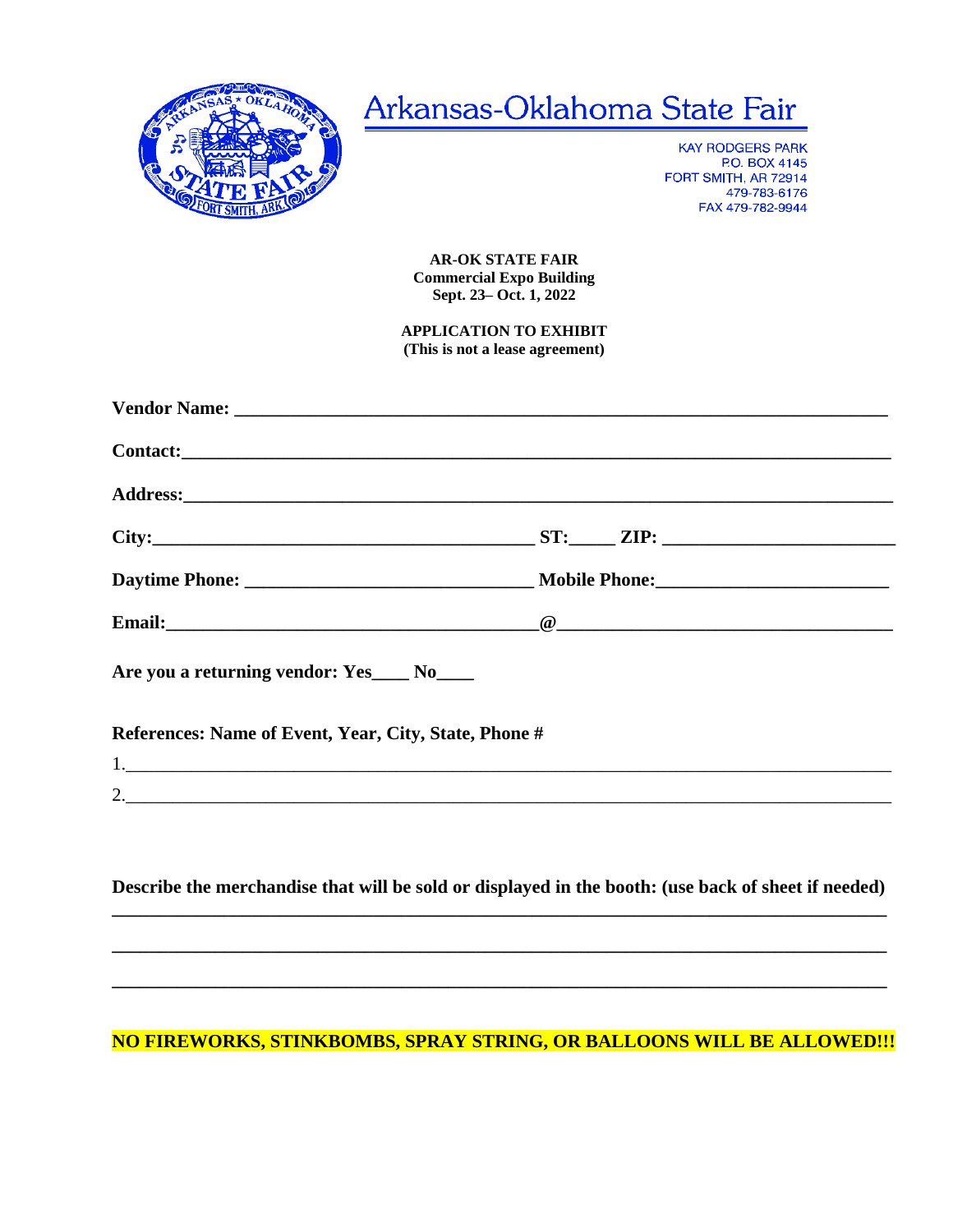

## Arkansas-Oklahoma State Fair

**KAY RODGERS PARK** P.O. BOX 4145 FORT SMITH, AR 72914 479-783-6176 FAX 479-782-9944

**AR-OK STATE FAIR Commercial Expo Building** Sept. 23 - Oct. 1, 2022

**APPLICATION TO EXHIBIT** (This is not a lease agreement)

| $City:$ $ZIP:$ $ZIP:$ $\Box$                                                                        |  |  |  |  |  |
|-----------------------------------------------------------------------------------------------------|--|--|--|--|--|
|                                                                                                     |  |  |  |  |  |
|                                                                                                     |  |  |  |  |  |
| Are you a returning vendor: Yes____ No____                                                          |  |  |  |  |  |
| References: Name of Event, Year, City, State, Phone #                                               |  |  |  |  |  |
|                                                                                                     |  |  |  |  |  |
| 2.                                                                                                  |  |  |  |  |  |
|                                                                                                     |  |  |  |  |  |
|                                                                                                     |  |  |  |  |  |
| Describe the merchandise that will be sold or displayed in the booth: (use back of sheet if needed) |  |  |  |  |  |

## **NO FIREWORKS, STINKBOMBS, SPRAY STRING, OR BALLOONS WILL BE ALLOWED!!!**